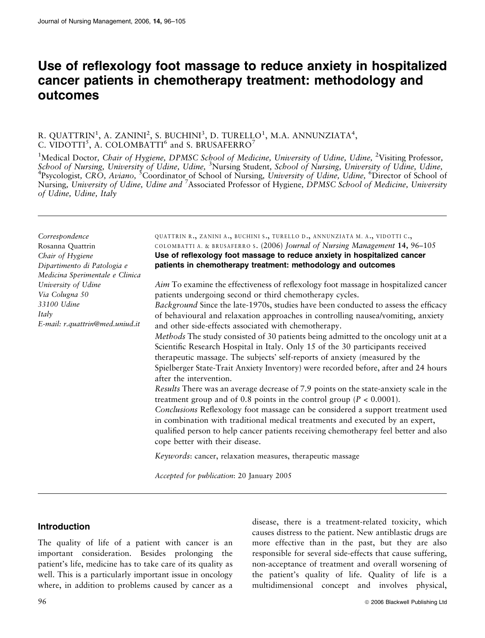# Use of reflexology foot massage to reduce anxiety in hospitalized cancer patients in chemotherapy treatment: methodology and outcomes

### R. QUATTRIN $^1$ , A. ZANINI $^2$ , S. Buchini $^3$ , D. Turello $^1$ , M.A. Annunziata $^4,$ C. VIDOTTI<sup>5</sup>, A. COLOMBATTI<sup>6</sup> and S. BRUSAFERRO<sup>7</sup>

<sup>1</sup>Medical Doctor, Chair of Hygiene, DPMSC School of Medicine, University of Udine, Udine, <sup>2</sup>Visiting Professor, School of Nursing, University of Udine, Udine, <sup>3</sup>Nursing Student, School of Nursing, University of Udine, Udine,<br><sup>4</sup>Psycologist, CRO, Aviano, <sup>5</sup>Coordinator of School of Nursing, University of Udine, Udine, <sup>6</sup>Director of Nursing, University of Udine, Udine and <sup>7</sup>Associated Professor of Hygiene, DPMSC School of Medicine, University of Udine, Udine, Italy

| Correspondence                  | QUATTRIN R., ZANINI A., BUCHINI S., TURELLO D., ANNUNZIATA M. A., VIDOTTI C.,         |
|---------------------------------|---------------------------------------------------------------------------------------|
| Rosanna Quattrin                | COLOMBATTI A. & BRUSAFERRO S. (2006) Journal of Nursing Management 14, 96-105         |
| Chair of Hygiene                | Use of reflexology foot massage to reduce anxiety in hospitalized cancer              |
| Dipartimento di Patologia e     | patients in chemotherapy treatment: methodology and outcomes                          |
| Medicina Sperimentale e Clinica |                                                                                       |
| University of Udine             | Aim To examine the effectiveness of reflexology foot massage in hospitalized cancer   |
| Via Colugna 50                  | patients undergoing second or third chemotherapy cycles.                              |
| 33100 Udine                     | Background Since the late-1970s, studies have been conducted to assess the efficacy   |
| Italy                           | of behavioural and relaxation approaches in controlling nausea/vomiting, anxiety      |
| E-mail: r.quattrin@med.uniud.it | and other side-effects associated with chemotherapy.                                  |
|                                 | Methods The study consisted of 30 patients being admitted to the oncology unit at a   |
|                                 | Scientific Research Hospital in Italy. Only 15 of the 30 participants received        |
|                                 | therapeutic massage. The subjects' self-reports of anxiety (measured by the           |
|                                 |                                                                                       |
|                                 | Spielberger State-Trait Anxiety Inventory) were recorded before, after and 24 hours   |
|                                 | after the intervention.                                                               |
|                                 | Results There was an average decrease of 7.9 points on the state-anxiety scale in the |
|                                 | treatment group and of 0.8 points in the control group ( $P < 0.0001$ ).              |
|                                 | Conclusions Reflexology foot massage can be considered a support treatment used       |
|                                 | in combination with traditional medical treatments and executed by an expert,         |
|                                 | qualified person to help cancer patients receiving chemotherapy feel better and also  |
|                                 | cope better with their disease.                                                       |
|                                 |                                                                                       |
|                                 | Keywords: cancer, relaxation measures, therapeutic massage                            |
|                                 |                                                                                       |

Accepted for publication: 20 January 2005

# Introduction

The quality of life of a patient with cancer is an important consideration. Besides prolonging the patient's life, medicine has to take care of its quality as well. This is a particularly important issue in oncology where, in addition to problems caused by cancer as a

disease, there is a treatment-related toxicity, which causes distress to the patient. New antiblastic drugs are more effective than in the past, but they are also responsible for several side-effects that cause suffering, non-acceptance of treatment and overall worsening of the patient's quality of life. Quality of life is a multidimensional concept and involves physical,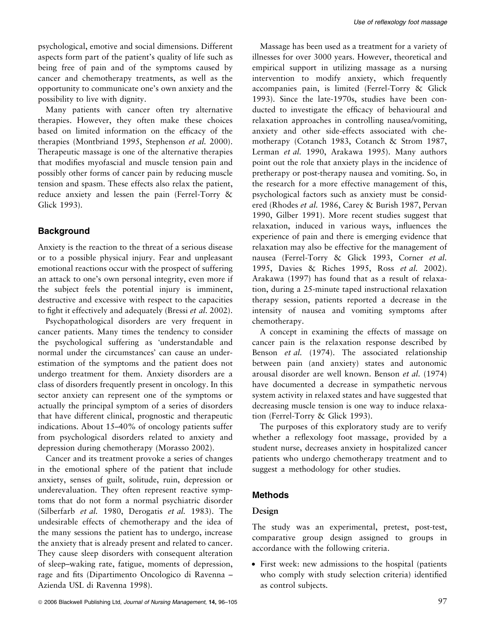psychological, emotive and social dimensions. Different aspects form part of the patient's quality of life such as being free of pain and of the symptoms caused by cancer and chemotherapy treatments, as well as the opportunity to communicate one's own anxiety and the possibility to live with dignity.

Many patients with cancer often try alternative therapies. However, they often make these choices based on limited information on the efficacy of the therapies (Montbriand 1995, Stephenson et al. 2000). Therapeutic massage is one of the alternative therapies that modifies myofascial and muscle tension pain and possibly other forms of cancer pain by reducing muscle tension and spasm. These effects also relax the patient, reduce anxiety and lessen the pain (Ferrel-Torry & Glick 1993).

### **Background**

Anxiety is the reaction to the threat of a serious disease or to a possible physical injury. Fear and unpleasant emotional reactions occur with the prospect of suffering an attack to one's own personal integrity, even more if the subject feels the potential injury is imminent, destructive and excessive with respect to the capacities to fight it effectively and adequately (Bressi et al. 2002).

Psychopathological disorders are very frequent in cancer patients. Many times the tendency to consider the psychological suffering as 'understandable and normal under the circumstances' can cause an underestimation of the symptoms and the patient does not undergo treatment for them. Anxiety disorders are a class of disorders frequently present in oncology. In this sector anxiety can represent one of the symptoms or actually the principal symptom of a series of disorders that have different clinical, prognostic and therapeutic indications. About 15–40% of oncology patients suffer from psychological disorders related to anxiety and depression during chemotherapy (Morasso 2002).

Cancer and its treatment provoke a series of changes in the emotional sphere of the patient that include anxiety, senses of guilt, solitude, ruin, depression or underevaluation. They often represent reactive symptoms that do not form a normal psychiatric disorder (Silberfarb et al. 1980, Derogatis et al. 1983). The undesirable effects of chemotherapy and the idea of the many sessions the patient has to undergo, increase the anxiety that is already present and related to cancer. They cause sleep disorders with consequent alteration of sleep–waking rate, fatigue, moments of depression, rage and fits (Dipartimento Oncologico di Ravenna – Azienda USL di Ravenna 1998).

Massage has been used as a treatment for a variety of illnesses for over 3000 years. However, theoretical and empirical support in utilizing massage as a nursing intervention to modify anxiety, which frequently accompanies pain, is limited (Ferrel-Torry & Glick 1993). Since the late-1970s, studies have been conducted to investigate the efficacy of behavioural and relaxation approaches in controlling nausea/vomiting, anxiety and other side-effects associated with chemotherapy (Cotanch 1983, Cotanch & Strom 1987, Lerman et al. 1990, Arakawa 1995). Many authors point out the role that anxiety plays in the incidence of pretherapy or post-therapy nausea and vomiting. So, in the research for a more effective management of this, psychological factors such as anxiety must be considered (Rhodes et al. 1986, Carey & Burish 1987, Pervan 1990, Gilber 1991). More recent studies suggest that relaxation, induced in various ways, influences the experience of pain and there is emerging evidence that relaxation may also be effective for the management of nausea (Ferrel-Torry & Glick 1993, Corner et al. 1995, Davies & Riches 1995, Ross et al. 2002). Arakawa (1997) has found that as a result of relaxation, during a 25-minute taped instructional relaxation therapy session, patients reported a decrease in the intensity of nausea and vomiting symptoms after chemotherapy.

A concept in examining the effects of massage on cancer pain is the relaxation response described by Benson et al. (1974). The associated relationship between pain (and anxiety) states and autonomic arousal disorder are well known. Benson et al. (1974) have documented a decrease in sympathetic nervous system activity in relaxed states and have suggested that decreasing muscle tension is one way to induce relaxation (Ferrel-Torry & Glick 1993).

The purposes of this exploratory study are to verify whether a reflexology foot massage, provided by a student nurse, decreases anxiety in hospitalized cancer patients who undergo chemotherapy treatment and to suggest a methodology for other studies.

#### Methods

#### Design

The study was an experimental, pretest, post-test, comparative group design assigned to groups in accordance with the following criteria.

• First week: new admissions to the hospital (patients who comply with study selection criteria) identified as control subjects.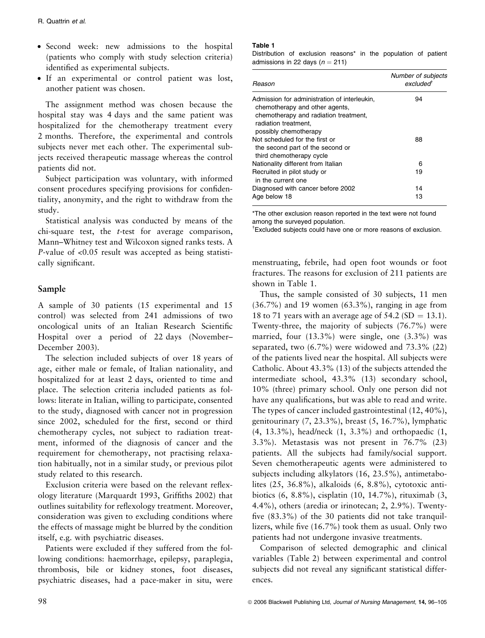- Second week: new admissions to the hospital (patients who comply with study selection criteria) identified as experimental subjects.
- If an experimental or control patient was lost, another patient was chosen.

The assignment method was chosen because the hospital stay was 4 days and the same patient was hospitalized for the chemotherapy treatment every 2 months. Therefore, the experimental and controls subjects never met each other. The experimental subjects received therapeutic massage whereas the control patients did not.

Subject participation was voluntary, with informed consent procedures specifying provisions for confidentiality, anonymity, and the right to withdraw from the study.

Statistical analysis was conducted by means of the chi-square test, the t-test for average comparison, Mann–Whitney test and Wilcoxon signed ranks tests. A P-value of <0.05 result was accepted as being statistically significant.

### Sample

A sample of 30 patients (15 experimental and 15 control) was selected from 241 admissions of two oncological units of an Italian Research Scientific Hospital over a period of 22 days (November– December 2003).

The selection included subjects of over 18 years of age, either male or female, of Italian nationality, and hospitalized for at least 2 days, oriented to time and place. The selection criteria included patients as follows: literate in Italian, willing to participate, consented to the study, diagnosed with cancer not in progression since 2002, scheduled for the first, second or third chemotherapy cycles, not subject to radiation treatment, informed of the diagnosis of cancer and the requirement for chemotherapy, not practising relaxation habitually, not in a similar study, or previous pilot study related to this research.

Exclusion criteria were based on the relevant reflexology literature (Marquardt 1993, Griffiths 2002) that outlines suitability for reflexology treatment. Moreover, consideration was given to excluding conditions where the effects of massage might be blurred by the condition itself, e.g. with psychiatric diseases.

Patients were excluded if they suffered from the following conditions: haemorrhage, epilepsy, paraplegia, thrombosis, bile or kidney stones, foot diseases, psychiatric diseases, had a pace-maker in situ, were

#### Table 1

Distribution of exclusion reasons\* in the population of patient admissions in 22 days ( $n = 211$ )

| Reason                                                                                                                                                                   | Number of subjects<br>excluded <sup>t</sup> |
|--------------------------------------------------------------------------------------------------------------------------------------------------------------------------|---------------------------------------------|
| Admission for administration of interleukin.<br>chemotherapy and other agents,<br>chemotherapy and radiation treatment,<br>radiation treatment.<br>possibly chemotherapy | 94                                          |
| Not scheduled for the first or<br>the second part of the second or<br>third chemotherapy cycle                                                                           | 88                                          |
| Nationality different from Italian                                                                                                                                       | 6                                           |
| Recruited in pilot study or<br>in the current one                                                                                                                        | 19                                          |
| Diagnosed with cancer before 2002                                                                                                                                        | 14                                          |
| Age below 18                                                                                                                                                             | 13                                          |

\*The other exclusion reason reported in the text were not found among the surveyed population.

Excluded subjects could have one or more reasons of exclusion.

menstruating, febrile, had open foot wounds or foot fractures. The reasons for exclusion of 211 patients are shown in Table 1.

Thus, the sample consisted of 30 subjects, 11 men  $(36.7\%)$  and 19 women  $(63.3\%)$ , ranging in age from 18 to 71 years with an average age of  $54.2$  (SD = 13.1). Twenty-three, the majority of subjects (76.7%) were married, four (13.3%) were single, one (3.3%) was separated, two (6.7%) were widowed and 73.3% (22) of the patients lived near the hospital. All subjects were Catholic. About 43.3% (13) of the subjects attended the intermediate school, 43.3% (13) secondary school, 10% (three) primary school. Only one person did not have any qualifications, but was able to read and write. The types of cancer included gastrointestinal (12, 40%), genitourinary  $(7, 23.3\%)$ , breast  $(5, 16.7\%)$ , lymphatic (4, 13.3%), head/neck (1, 3.3%) and orthopaedic (1, 3.3%). Metastasis was not present in 76.7% (23) patients. All the subjects had family/social support. Seven chemotherapeutic agents were administered to subjects including alkylators (16, 23.5%), antimetabolites (25, 36.8%), alkaloids (6, 8.8%), cytotoxic antibiotics (6, 8.8%), cisplatin (10, 14.7%), rituximab (3, 4.4%), others (aredia or irinotecan; 2, 2.9%). Twentyfive (83.3%) of the 30 patients did not take tranquillizers, while five (16.7%) took them as usual. Only two patients had not undergone invasive treatments.

Comparison of selected demographic and clinical variables (Table 2) between experimental and control subjects did not reveal any significant statistical differences.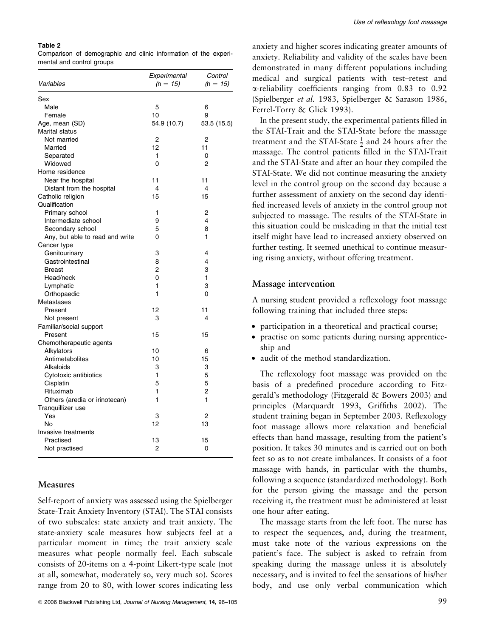#### Table 2

Comparison of demographic and clinic information of the experimental and control groups

| Variables                       | Experimental<br>$(n = 15)$ | Control<br>$(n = 15)$ |
|---------------------------------|----------------------------|-----------------------|
| Sex                             |                            |                       |
| Male                            | 5                          | 6                     |
| Female                          | 10                         | 9                     |
| Age, mean (SD)                  | 54.9 (10.7)                | 53.5 (15.5)           |
| <b>Marital status</b>           |                            |                       |
| Not married                     | 2                          | 2                     |
| Married                         | 12                         | 11                    |
| Separated                       | 1                          | 0                     |
| Widowed                         | $\Omega$                   | $\overline{2}$        |
| Home residence                  |                            |                       |
| Near the hospital               | 11                         | 11                    |
| Distant from the hospital       | 4                          | 4                     |
| Catholic religion               | 15                         | 15                    |
| Qualification                   |                            |                       |
| Primary school                  | 1                          | 2                     |
| Intermediate school             | 9                          | 4                     |
| Secondary school                | 5                          | 8                     |
| Any, but able to read and write | $\Omega$                   | 1                     |
| Cancer type                     |                            |                       |
| Genitourinary                   | 3                          | 4                     |
| Gastrointestinal                | 8                          | 4                     |
| <b>Breast</b>                   | $\overline{2}$             | 3                     |
| Head/neck                       | 0                          | 1                     |
| Lymphatic                       | 1                          | 3                     |
| Orthopaedic                     | 1                          | 0                     |
| Metastases                      |                            |                       |
| Present                         | 12                         | 11                    |
| Not present                     | 3                          | 4                     |
| Familiar/social support         |                            |                       |
| Present                         | 15                         | 15                    |
| Chemotherapeutic agents         |                            |                       |
| Alkylators                      | 10                         | 6                     |
| Antimetabolites                 | 10                         | 15                    |
| Alkaloids                       | 3                          | 3                     |
| Cytotoxic antibiotics           | 1                          | 5                     |
| Cisplatin                       | 5                          | 5                     |
| Rituximab                       | 1                          | 2                     |
| Others (aredia or irinotecan)   | 1                          | 1                     |
| Tranquillizer use               |                            |                       |
| Yes                             | 3                          | 2                     |
| <b>No</b>                       | 12                         | 13                    |
| Invasive treatments             |                            |                       |
| Practised                       | 13                         | 15                    |
| Not practised                   | 2                          | 0                     |
|                                 |                            |                       |

#### Measures

Self-report of anxiety was assessed using the Spielberger State-Trait Anxiety Inventory (STAI). The STAI consists of two subscales: state anxiety and trait anxiety. The state-anxiety scale measures how subjects feel at a particular moment in time; the trait anxiety scale measures what people normally feel. Each subscale consists of 20-items on a 4-point Likert-type scale (not at all, somewhat, moderately so, very much so). Scores range from 20 to 80, with lower scores indicating less anxiety and higher scores indicating greater amounts of anxiety. Reliability and validity of the scales have been demonstrated in many different populations including medical and surgical patients with test–retest and *a*-reliability coefficients ranging from 0.83 to 0.92 (Spielberger et al. 1983, Spielberger & Sarason 1986, Ferrel-Torry & Glick 1993).

In the present study, the experimental patients filled in the STAI-Trait and the STAI-State before the massage treatment and the STAI-State  $\frac{1}{2}$  and 24 hours after the massage. The control patients filled in the STAI-Trait and the STAI-State and after an hour they compiled the STAI-State. We did not continue measuring the anxiety level in the control group on the second day because a further assessment of anxiety on the second day identified increased levels of anxiety in the control group not subjected to massage. The results of the STAI-State in this situation could be misleading in that the initial test itself might have lead to increased anxiety observed on further testing. It seemed unethical to continue measuring rising anxiety, without offering treatment.

#### Massage intervention

A nursing student provided a reflexology foot massage following training that included three steps:

- participation in a theoretical and practical course;
- practise on some patients during nursing apprenticeship and
- audit of the method standardization.

The reflexology foot massage was provided on the basis of a predefined procedure according to Fitzgerald's methodology (Fitzgerald & Bowers 2003) and principles (Marquardt 1993, Griffiths 2002). The student training began in September 2003. Reflexology foot massage allows more relaxation and beneficial effects than hand massage, resulting from the patient's position. It takes 30 minutes and is carried out on both feet so as to not create imbalances. It consists of a foot massage with hands, in particular with the thumbs, following a sequence (standardized methodology). Both for the person giving the massage and the person receiving it, the treatment must be administered at least one hour after eating.

The massage starts from the left foot. The nurse has to respect the sequences, and, during the treatment, must take note of the various expressions on the patient's face. The subject is asked to refrain from speaking during the massage unless it is absolutely necessary, and is invited to feel the sensations of his/her body, and use only verbal communication which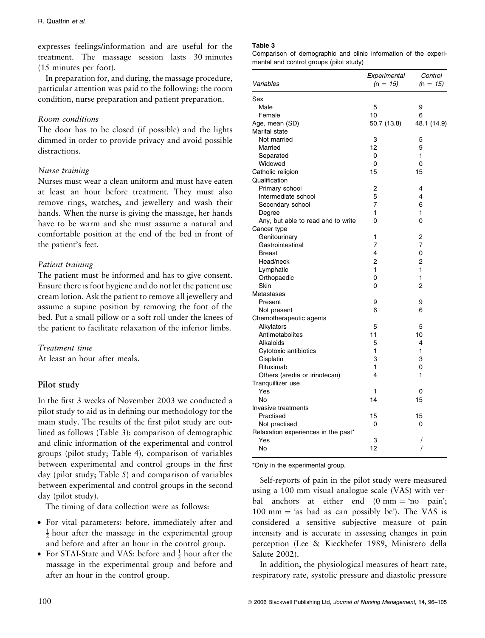expresses feelings/information and are useful for the treatment. The massage session lasts 30 minutes (15 minutes per foot).

In preparation for, and during, the massage procedure, particular attention was paid to the following: the room condition, nurse preparation and patient preparation.

#### Room conditions

The door has to be closed (if possible) and the lights dimmed in order to provide privacy and avoid possible distractions.

#### Nurse training

Nurses must wear a clean uniform and must have eaten at least an hour before treatment. They must also remove rings, watches, and jewellery and wash their hands. When the nurse is giving the massage, her hands have to be warm and she must assume a natural and comfortable position at the end of the bed in front of the patient's feet.

### Patient training

The patient must be informed and has to give consent. Ensure there is foot hygiene and do not let the patient use cream lotion. Ask the patient to remove all jewellery and assume a supine position by removing the foot of the bed. Put a small pillow or a soft roll under the knees of the patient to facilitate relaxation of the inferior limbs.

#### Treatment time

At least an hour after meals.

### Pilot study

In the first 3 weeks of November 2003 we conducted a pilot study to aid us in defining our methodology for the main study. The results of the first pilot study are outlined as follows (Table 3): comparison of demographic and clinic information of the experimental and control groups (pilot study; Table 4), comparison of variables between experimental and control groups in the first day (pilot study; Table 5) and comparison of variables between experimental and control groups in the second day (pilot study).

The timing of data collection were as follows:

- For vital parameters: before, immediately after and  $\frac{1}{2}$  hour after the massage in the experimental group and before and after an hour in the control group.
- For STAI-State and VAS: before and  $\frac{1}{2}$  hour after the massage in the experimental group and before and after an hour in the control group.

#### Table 3

Comparison of demographic and clinic information of the experimental and control groups (pilot study)

| Variables                           | Experimental<br>$(n = 15)$ | Control<br>$(n = 15)$ |
|-------------------------------------|----------------------------|-----------------------|
| Sex                                 |                            |                       |
| Male                                | 5                          | 9                     |
| Female                              | 10                         | 6                     |
| Age, mean (SD)                      | 50.7 (13.8)                | 48.1 (14.9)           |
| Marital state                       |                            |                       |
| Not married                         | 3                          | 5                     |
| Married                             | 12                         | 9                     |
| Separated                           | 0                          | 1                     |
| Widowed                             | 0                          | 0                     |
| Catholic religion                   | 15                         | 15                    |
| Qualification                       |                            |                       |
| Primary school                      | 2                          | 4                     |
| Intermediate school                 | 5                          | 4                     |
| Secondary school                    | 7                          | 6                     |
| Degree                              | 1                          | 1                     |
| Any, but able to read and to write  | 0                          | 0                     |
| Cancer type                         |                            |                       |
| Genitourinary                       | 1                          | 2                     |
| Gastrointestinal                    | 7                          | 7                     |
| Breast                              | 4                          | 0                     |
| Head/neck                           | 2                          | 2                     |
| Lymphatic                           | 1                          | 1                     |
| Orthopaedic                         | 0                          | 1                     |
| Skin                                | 0                          | 2                     |
| Metastases                          |                            |                       |
| Present                             | 9                          | 9                     |
| Not present                         | 6                          | 6                     |
| Chemotherapeutic agents             |                            |                       |
| Alkylators                          | 5                          | 5                     |
| Antimetabolites                     | 11                         | 10                    |
| Alkaloids                           | 5                          | 4                     |
| Cytotoxic antibiotics               | 1                          | 1                     |
| Cisplatin                           | 3                          | 3                     |
| Rituximab                           | 1                          | 0                     |
| Others (aredia or irinotecan)       | $\overline{\mathbf{4}}$    | 1                     |
| Tranquillizer use                   |                            |                       |
| Yes                                 | 1                          | 0                     |
| No                                  | 14                         | 15                    |
| Invasive treatments                 |                            |                       |
| Practised                           | 15                         | 15                    |
| Not practised                       | 0                          | 0                     |
| Relaxation experiences in the past* |                            |                       |
| Yes                                 | 3                          | 1                     |
| No                                  | 12                         | I                     |

\*Only in the experimental group.

Self-reports of pain in the pilot study were measured using a 100 mm visual analogue scale (VAS) with verbal anchors at either end  $(0 \text{ mm} = \text{'no } \text{ pain'};$  $100 \text{ mm} = 'as \text{ bad as can possibly be'}$ . The VAS is considered a sensitive subjective measure of pain intensity and is accurate in assessing changes in pain perception (Lee & Kieckhefer 1989, Ministero della Salute 2002).

In addition, the physiological measures of heart rate, respiratory rate, systolic pressure and diastolic pressure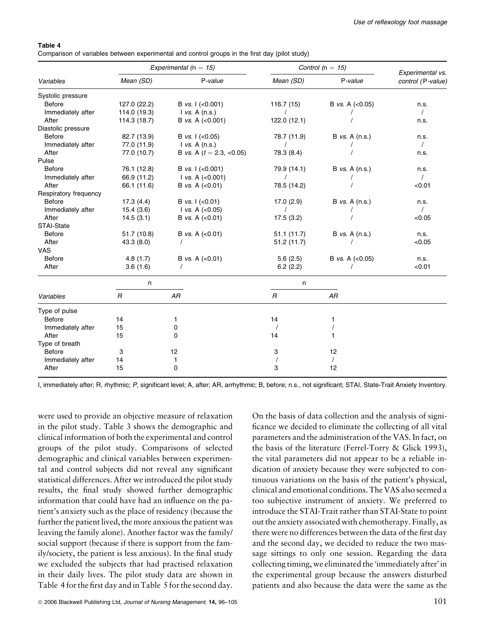| ×<br>۰,<br>. . |  |
|----------------|--|
|----------------|--|

Comparison of variables between experimental and control groups in the first day (pilot study)

|                       |              | Experimental ( $n = 15$ )    | Control ( $n = 15$ ) |                  |                                       |
|-----------------------|--------------|------------------------------|----------------------|------------------|---------------------------------------|
| Variables             | Mean (SD)    | P-value                      | Mean (SD)            | P-value          | Experimental vs.<br>control (P-value) |
| Systolic pressure     |              |                              |                      |                  |                                       |
| Before                | 127.0 (22.2) | B vs. $1$ (<0.001)           | 116.7(15)            | B vs. A $(0.05)$ | n.s.                                  |
| Immediately after     | 114.0 (19.3) | $\vert$ vs. A (n.s.)         |                      |                  |                                       |
| After                 | 114.3 (18.7) | B vs. A (<0.001)             | 122.0 (12.1)         |                  | n.s.                                  |
| Diastolic pressure    |              |                              |                      |                  |                                       |
| <b>Before</b>         | 82.7 (13.9)  | B vs. $1$ (<0.05)            | 78.7 (11.9)          | B vs. A (n.s.)   | n.s.                                  |
| Immediately after     | 77.0 (11.9)  | $\vert$ vs. A (n.s.)         |                      |                  | $\prime$                              |
| After                 | 77.0 (10.7)  | B vs. A ( $t = 2.3$ , <0.05) | 78.3 (8.4)           |                  | n.s.                                  |
| Pulse                 |              |                              |                      |                  |                                       |
| <b>Before</b>         | 76.1 (12.8)  | B vs. $1$ (<0.001)           | 79.9 (14.1)          | B vs. A (n.s.)   | n.s.                                  |
| Immediately after     | 66.9 (11.2)  | 1 vs. A (< 0.001)            |                      |                  |                                       |
| After                 | 66.1 (11.6)  | B vs. A $(<0.01)$            | 78.5 (14.2)          |                  | < 0.01                                |
| Respiratory frequency |              |                              |                      |                  |                                       |
| <b>Before</b>         | 17.3(4.4)    | B vs. $1$ (<0.01)            | 17.0 (2.9)           | B vs. A (n.s.)   | n.s.                                  |
| Immediately after     | 15.4(3.6)    | $\frac{1}{5}$ vs. A (<0.05)  |                      |                  |                                       |
| After                 | 14.5(3.1)    | B vs. A $(<0.01)$            | 17.5(3.2)            |                  | < 0.05                                |
| <b>STAI-State</b>     |              |                              |                      |                  |                                       |
| <b>Before</b>         | 51.7 (10.8)  | B vs. A $(<0.01)$            | 51.1(11.7)           | B vs. A (n.s.)   | n.s.                                  |
| After                 | 43.3(8.0)    |                              | 51.2 (11.7)          |                  | < 0.05                                |
| <b>VAS</b>            |              |                              |                      |                  |                                       |
| Before                | 4.8(1.7)     | B vs. A $(<0.01)$            | 5.6(2.5)             | B vs. A (<0.05)  | n.s.                                  |
| After                 | 3.6(1.6)     |                              | 6.2(2.2)             |                  | < 0.01                                |
|                       | n            |                              | n                    |                  |                                       |
| Variables             | R            | AR                           | $\boldsymbol{R}$     | AR               |                                       |
| Type of pulse         |              |                              |                      |                  |                                       |
| <b>Before</b>         | 14           | 1                            | 14                   | 1                |                                       |
| Immediately after     | 15           | 0                            |                      |                  |                                       |
| After                 | 15           | 0                            | 14                   | 1                |                                       |
| Type of breath        |              |                              |                      |                  |                                       |
| <b>Before</b>         | 3            | 12                           | 3                    | 12               |                                       |
| Immediately after     | 14           | 1                            |                      |                  |                                       |
| After                 | 15           | 0                            | 3                    | 12               |                                       |

I, immediately after; R, rhythmic; P, significant level; A, after; AR, arrhythmic; B, before; n.s., not significant; STAI, State-Trait Anxiety Inventory.

were used to provide an objective measure of relaxation in the pilot study. Table 3 shows the demographic and clinical information of both the experimental and control groups of the pilot study. Comparisons of selected demographic and clinical variables between experimental and control subjects did not reveal any significant statistical differences. After we introduced the pilot study results, the final study showed further demographic information that could have had an influence on the patient's anxiety such as the place of residency (because the further the patient lived, the more anxious the patient was leaving the family alone). Another factor was the family/ social support (because if there is support from the family/society, the patient is less anxious). In the final study we excluded the subjects that had practised relaxation in their daily lives. The pilot study data are shown in Table 4 for the first day and in Table 5 for the second day.

On the basis of data collection and the analysis of significance we decided to eliminate the collecting of all vital parameters and the administration of the VAS. In fact, on the basis of the literature (Ferrel-Torry & Glick 1993), the vital parameters did not appear to be a reliable indication of anxiety because they were subjected to continuous variations on the basis of the patient's physical, clinical and emotional conditions. The VAS also seemed a too subjective instrument of anxiety. We preferred to introduce the STAI-Trait rather than STAI-State to point out the anxiety associated with chemotherapy. Finally, as there were no differences between the data of the first day and the second day, we decided to reduce the two massage sittings to only one session. Regarding the data collecting timing, we eliminated the 'immediately after' in the experimental group because the answers disturbed patients and also because the data were the same as the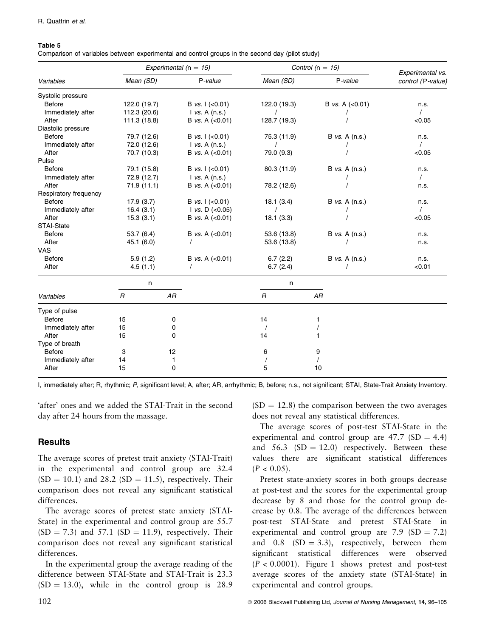#### Table 5

Comparison of variables between experimental and control groups in the second day (pilot study)

| Variables             | Experimental ( $n = 15$ ) |    |                         | Control ( $n = 15$ ) |    |                  |                                       |
|-----------------------|---------------------------|----|-------------------------|----------------------|----|------------------|---------------------------------------|
|                       | Mean (SD)                 |    | P-value                 | Mean (SD)            |    | P-value          | Experimental vs.<br>control (P-value) |
| Systolic pressure     |                           |    |                         |                      |    |                  |                                       |
| Before                | 122.0 (19.7)              |    | B vs. $1$ (<0.01)       | 122.0 (19.3)         |    | B vs. A $(0.01)$ | n.s.                                  |
| Immediately after     | 112.3 (20.6)              |    | $\sqrt{1}$ vs. A (n.s.) |                      |    |                  |                                       |
| After                 | 111.3 (18.8)              |    | B vs. A $(<0.01)$       | 128.7 (19.3)         |    |                  | < 0.05                                |
| Diastolic pressure    |                           |    |                         |                      |    |                  |                                       |
| <b>Before</b>         | 79.7 (12.6)               |    | B vs. I (<0.01)         | 75.3 (11.9)          |    | B vs. A (n.s.)   | n.s.                                  |
| Immediately after     | 72.0 (12.6)               |    | $\sqrt{1}$ vs. A (n.s.) |                      |    |                  |                                       |
| After                 | 70.7 (10.3)               |    | B vs. A (<0.01)         | 79.0 (9.3)           |    |                  | < 0.05                                |
| Pulse                 |                           |    |                         |                      |    |                  |                                       |
| <b>Before</b>         | 79.1 (15.8)               |    | B vs. $1$ (<0.01)       | 80.3 (11.9)          |    | B vs. A (n.s.)   | n.s.                                  |
| Immediately after     | 72.9 (12.7)               |    | $l$ vs. A $(n.s.)$      |                      |    |                  |                                       |
| After                 | 71.9 (11.1)               |    | B vs. A $(<0.01)$       | 78.2 (12.6)          |    |                  | n.s.                                  |
| Respiratory frequency |                           |    |                         |                      |    |                  |                                       |
| <b>Before</b>         | 17.9(3.7)                 |    | B vs. $1$ (<0.01)       | 18.1(3.4)            |    | B vs. A (n.s.)   | n.s.                                  |
| Immediately after     | 16.4(3.1)                 |    | vs. D (< 0.05)          |                      |    |                  |                                       |
| After                 | 15.3(3.1)                 |    | B vs. A $(<0.01)$       | 18.1(3.3)            |    |                  | < 0.05                                |
| <b>STAI-State</b>     |                           |    |                         |                      |    |                  |                                       |
| <b>Before</b>         | 53.7(6.4)                 |    | B vs. A $(<0.01)$       | 53.6 (13.8)          |    | B $vs. A (n.s.)$ | n.s.                                  |
| After                 | 45.1 (6.0)                |    |                         | 53.6 (13.8)          |    |                  | n.s.                                  |
| VAS                   |                           |    |                         |                      |    |                  |                                       |
| Before                | 5.9(1.2)                  |    | B vs. A $(<0.01)$       | 6.7(2.2)             |    | B vs. A (n.s.)   | n.s.                                  |
| After                 | 4.5(1.1)                  |    |                         | 6.7(2.4)             |    |                  | < 0.01                                |
|                       | n                         |    |                         | n                    |    |                  |                                       |
| Variables             | $\overline{B}$            | AR |                         | $\overline{R}$       | AR |                  |                                       |
| Type of pulse         |                           |    |                         |                      |    |                  |                                       |
| Before                | 15                        | 0  |                         | 14                   | 1  |                  |                                       |
| Immediately after     | 15                        | 0  |                         |                      |    |                  |                                       |
| After                 | 15                        | 0  |                         | 14                   | 1  |                  |                                       |
| Type of breath        |                           |    |                         |                      |    |                  |                                       |
| <b>Before</b>         | 3                         | 12 |                         | 6                    | 9  |                  |                                       |
| Immediately after     | 14                        | 1  |                         |                      |    |                  |                                       |
| After                 | 15                        | 0  |                         | 5                    | 10 |                  |                                       |

I, immediately after; R, rhythmic; P, significant level; A, after; AR, arrhythmic; B, before; n.s., not significant; STAI, State-Trait Anxiety Inventory.

'after' ones and we added the STAI-Trait in the second day after 24 hours from the massage.

#### **Results**

The average scores of pretest trait anxiety (STAI-Trait) in the experimental and control group are 32.4  $(SD = 10.1)$  and 28.2  $(SD = 11.5)$ , respectively. Their comparison does not reveal any significant statistical differences.

The average scores of pretest state anxiety (STAI-State) in the experimental and control group are 55.7  $(SD = 7.3)$  and 57.1  $(SD = 11.9)$ , respectively. Their comparison does not reveal any significant statistical differences.

In the experimental group the average reading of the difference between STAI-State and STAI-Trait is 23.3  $(SD = 13.0)$ , while in the control group is 28.9  $(SD = 12.8)$  the comparison between the two averages does not reveal any statistical differences.

The average scores of post-test STAI-State in the experimental and control group are  $47.7$  (SD = 4.4) and  $56.3$   $(SD = 12.0)$  respectively. Between these values there are significant statistical differences  $(P < 0.05)$ .

Pretest state-anxiety scores in both groups decrease at post-test and the scores for the experimental group decrease by 8 and those for the control group decrease by 0.8. The average of the differences between post-test STAI-State and pretest STAI-State in experimental and control group are 7.9  $(SD = 7.2)$ and 0.8  $(SD = 3.3)$ , respectively, between them significant statistical differences were observed  $(P < 0.0001)$ . Figure 1 shows pretest and post-test average scores of the anxiety state (STAI-State) in experimental and control groups.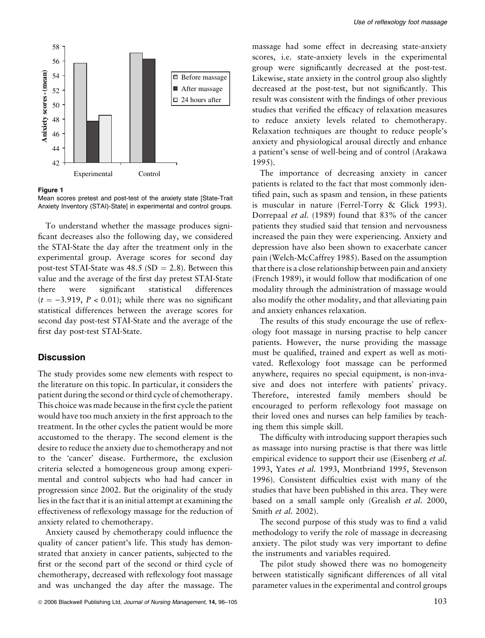

#### Figure 1

Mean scores pretest and post-test of the anxiety state [State-Trait] Anxiety Inventory (STAI)-State] in experimental and control groups.

To understand whether the massage produces significant decreases also the following day, we considered the STAI-State the day after the treatment only in the experimental group. Average scores for second day post-test STAI-State was  $48.5$  (SD = 2.8). Between this value and the average of the first day pretest STAI-State there were significant statistical differences  $(t = -3.919, P < 0.01)$ ; while there was no significant statistical differences between the average scores for second day post-test STAI-State and the average of the first day post-test STAI-State.

### **Discussion**

The study provides some new elements with respect to the literature on this topic. In particular, it considers the patient during the second or third cycle of chemotherapy. This choice was made because in the first cycle the patient would have too much anxiety in the first approach to the treatment. In the other cycles the patient would be more accustomed to the therapy. The second element is the desire to reduce the anxiety due to chemotherapy and not to the 'cancer' disease. Furthermore, the exclusion criteria selected a homogeneous group among experimental and control subjects who had had cancer in progression since 2002. But the originality of the study lies in the fact that it is an initial attempt at examining the effectiveness of reflexology massage for the reduction of anxiety related to chemotherapy.

Anxiety caused by chemotherapy could influence the quality of cancer patient's life. This study has demonstrated that anxiety in cancer patients, subjected to the first or the second part of the second or third cycle of chemotherapy, decreased with reflexology foot massage and was unchanged the day after the massage. The

massage had some effect in decreasing state-anxiety scores, i.e. state-anxiety levels in the experimental group were significantly decreased at the post-test. Likewise, state anxiety in the control group also slightly decreased at the post-test, but not significantly. This result was consistent with the findings of other previous studies that verified the efficacy of relaxation measures to reduce anxiety levels related to chemotherapy. Relaxation techniques are thought to reduce people's anxiety and physiological arousal directly and enhance a patient's sense of well-being and of control (Arakawa 1995).

The importance of decreasing anxiety in cancer patients is related to the fact that most commonly identified pain, such as spasm and tension, in these patients is muscular in nature (Ferrel-Torry & Glick 1993). Dorrepaal et al. (1989) found that 83% of the cancer patients they studied said that tension and nervousness increased the pain they were experiencing. Anxiety and depression have also been shown to exacerbate cancer pain (Welch-McCaffrey 1985). Based on the assumption that there is a close relationship between pain and anxiety (French 1989), it would follow that modification of one modality through the administration of massage would also modify the other modality, and that alleviating pain and anxiety enhances relaxation.

The results of this study encourage the use of reflexology foot massage in nursing practise to help cancer patients. However, the nurse providing the massage must be qualified, trained and expert as well as motivated. Reflexology foot massage can be performed anywhere, requires no special equipment, is non-invasive and does not interfere with patients' privacy. Therefore, interested family members should be encouraged to perform reflexology foot massage on their loved ones and nurses can help families by teaching them this simple skill.

The difficulty with introducing support therapies such as massage into nursing practise is that there was little empirical evidence to support their use (Eisenberg *et al.*) 1993, Yates et al. 1993, Montbriand 1995, Stevenson 1996). Consistent difficulties exist with many of the studies that have been published in this area. They were based on a small sample only (Grealish et al. 2000, Smith et al. 2002).

The second purpose of this study was to find a valid methodology to verify the role of massage in decreasing anxiety. The pilot study was very important to define the instruments and variables required.

The pilot study showed there was no homogeneity between statistically significant differences of all vital parameter values in the experimental and control groups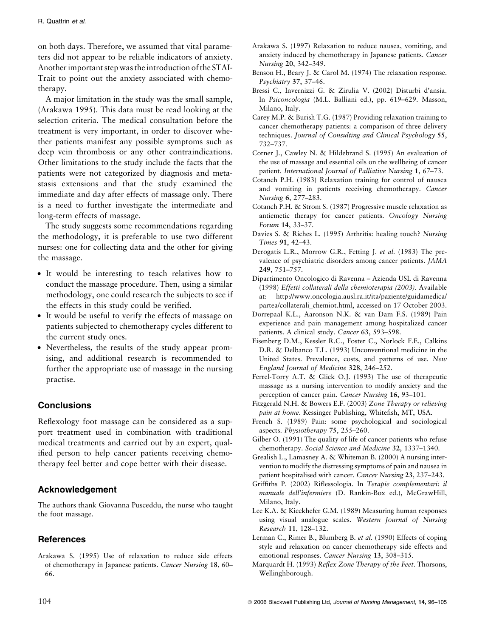on both days. Therefore, we assumed that vital parameters did not appear to be reliable indicators of anxiety. Another important step was the introduction of the STAI-Trait to point out the anxiety associated with chemotherapy.

A major limitation in the study was the small sample, (Arakawa 1995). This data must be read looking at the selection criteria. The medical consultation before the treatment is very important, in order to discover whether patients manifest any possible symptoms such as deep vein thrombosis or any other contraindications. Other limitations to the study include the facts that the patients were not categorized by diagnosis and metastasis extensions and that the study examined the immediate and day after effects of massage only. There is a need to further investigate the intermediate and long-term effects of massage.

The study suggests some recommendations regarding the methodology, it is preferable to use two different nurses: one for collecting data and the other for giving the massage.

- It would be interesting to teach relatives how to conduct the massage procedure. Then, using a similar methodology, one could research the subjects to see if the effects in this study could be verified.
- It would be useful to verify the effects of massage on patients subjected to chemotherapy cycles different to the current study ones.
- Nevertheless, the results of the study appear promising, and additional research is recommended to further the appropriate use of massage in the nursing practise.

# **Conclusions**

Reflexology foot massage can be considered as a support treatment used in combination with traditional medical treatments and carried out by an expert, qualified person to help cancer patients receiving chemotherapy feel better and cope better with their disease.

# Acknowledgement

The authors thank Giovanna Pusceddu, the nurse who taught the foot massage.

# References

Arakawa S. (1995) Use of relaxation to reduce side effects of chemotherapy in Japanese patients. Cancer Nursing 18, 60– 66.

- Arakawa S. (1997) Relaxation to reduce nausea, vomiting, and anxiety induced by chemotherapy in Japanese patients. Cancer Nursing 20, 342–349.
- Benson H., Beary J. & Carol M. (1974) The relaxation response. Psychiatry 37, 37–46.
- Bressi C., Invernizzi G. & Zirulia V. (2002) Disturbi d'ansia. In Psiconcologia (M.L. Balliani ed.), pp. 619–629. Masson, Milano, Italy.
- Carey M.P. & Burish T.G. (1987) Providing relaxation training to cancer chemotherapy patients: a comparison of three delivery techniques. Journal of Consulting and Clinical Psychology 55, 732–737.
- Corner J., Cawley N. & Hildebrand S. (1995) An evaluation of the use of massage and essential oils on the wellbeing of cancer patient. International Journal of Palliative Nursing 1, 67–73.
- Cotanch P.H. (1983) Relaxation training for control of nausea and vomiting in patients receiving chemotherapy. Cancer Nursing 6, 277–283.
- Cotanch P.H. & Strom S. (1987) Progressive muscle relaxation as antiemetic therapy for cancer patients. Oncology Nursing Forum 14, 33–37.
- Davies S. & Riches L. (1995) Arthritis: healing touch? Nursing Times 91, 42–43.
- Derogatis L.R., Morrow G.R., Fetting J. et al. (1983) The prevalence of psychiatric disorders among cancer patients. JAMA 249, 751–757.
- Dipartimento Oncologico di Ravenna Azienda USL di Ravenna (1998) Effetti collaterali della chemioterapia (2003). Available at: http://www.oncologia.ausl.ra.it/ita/paziente/guidamedica/ partea/collaterali\_chemiot.html, accessed on 17 October 2003.
- Dorrepaal K.L., Aaronson N.K. & van Dam F.S. (1989) Pain experience and pain management among hospitalized cancer patients. A clinical study. Cancer 63, 593–598.
- Eisenberg D.M., Kessler R.C., Foster C., Norlock F.E., Calkins D.R. & Delbanco T.L. (1993) Unconventional medicine in the United States. Prevalence, costs, and patterns of use. New England Journal of Medicine 328, 246–252.
- Ferrel-Torry A.T. & Glick O.J. (1993) The use of therapeutic massage as a nursing intervention to modify anxiety and the perception of cancer pain. Cancer Nursing 16, 93–101.
- Fitzgerald N.H. & Bowers E.F. (2003) Zone Therapy or relieving pain at home. Kessinger Publishing, Whitefish, MT, USA.
- French S. (1989) Pain: some psychological and sociological aspects. Physiotherapy 75, 255–260.
- Gilber O. (1991) The quality of life of cancer patients who refuse chemotherapy. Social Science and Medicine 32, 1337–1340.
- Grealish L., Lamasney A. & Whiteman B. (2000) A nursing intervention to modify the distressing symptoms of pain and nausea in patient hospitalised with cancer. Cancer Nursing 23, 237–243.
- Griffiths P. (2002) Riflessologia. In Terapie complementari: il manuale dell'infermiere (D. Rankin-Box ed.), McGrawHill, Milano, Italy.
- Lee K.A. & Kieckhefer G.M. (1989) Measuring human responses using visual analogue scales. Western Journal of Nursing Research 11, 128–132.
- Lerman C., Rimer B., Blumberg B. et al. (1990) Effects of coping style and relaxation on cancer chemotherapy side effects and emotional responses. Cancer Nursing 13, 308–315.
- Marquardt H. (1993) Reflex Zone Therapy of the Feet. Thorsons, Wellinghborough.